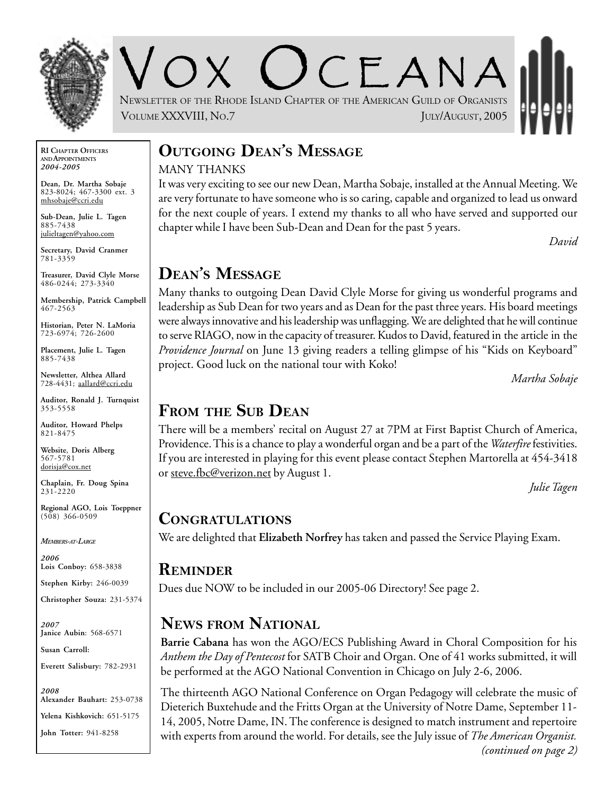

OX UCEANA NEWSLETTER OF THE RHODE ISLAND CHAPTER OF THE AMERICAN GUILD OF ORGANISTS VOLUME XXXVIII, NO.7 JULY/AUGUST, 2005

**RI CHAPTER OFFICERS AND APPOINTMENTS** *2004-2005*

**Dean, Dr. Martha Sobaje** 823-8024; 467-3300 ext. 3 mhsobaje@ccri.edu

**Sub-Dean, Julie L. Tagen** 885-7438 julieltagen@yahoo.com

**Secretary, David Cranmer** 781-3359

**Treasurer, David Clyle Morse** 486-0244; 273-3340

**Membership, Patrick Campbell** 467-2563

**Historian, Peter N. LaMoria** 723-6974; 726-2600

**Placement, Julie L. Tagen** 885-7438

**Newsletter, Althea Allard** 728-4431; aallard@ccri.edu

**Auditor, Ronald J. Turnquist** 353-5558

**Auditor, Howard Phelps** 821-8475

**Website**, **Doris Alberg** 567-5781 dorisja@cox.net

**Chaplain, Fr. Doug Spina** 231-2220

**Regional AGO, Lois Toeppner**  $(508)$  366-0509

*MEMBERS-AT-LARGE*

*2006* **Lois Conboy:** 658-3838

**Stephen Kirby:** 246-0039

**Christopher Souza:** 231-5374

*2007* **Janice Aubin**: 568-6571

**Susan Carroll:**

**Everett Salisbury:** 782-2931

*2008* **Alexander Bauhart:** 253-0738 **Yelena Kishkovich:** 651-5175

#### **John Totter:** 941-8258

# **OUTGOING DEAN'S MESSAGE** MANY THANKS

It was very exciting to see our new Dean, Martha Sobaje, installed at the Annual Meeting. We are very fortunate to have someone who is so caring, capable and organized to lead us onward for the next couple of years. I extend my thanks to all who have served and supported our chapter while I have been Sub-Dean and Dean for the past 5 years.

*David*

# **DEAN'S MESSAGE**

Many thanks to outgoing Dean David Clyle Morse for giving us wonderful programs and leadership as Sub Dean for two years and as Dean for the past three years. His board meetings were always innovative and his leadership was unflagging. We are delighted that he will continue to serve RIAGO, now in the capacity of treasurer. Kudos to David, featured in the article in the *Providence Journal* on June 13 giving readers a telling glimpse of his "Kids on Keyboard" project. Good luck on the national tour with Koko!

*Martha Sobaje*

# **FROM THE SUB DEAN**

There will be a members' recital on August 27 at 7PM at First Baptist Church of America, Providence. This is a chance to play a wonderful organ and be a part of the *Waterfire* festivities. If you are interested in playing for this event please contact Stephen Martorella at 454-3418 or steve.fbc@verizon.net by August 1.

*Julie Tagen*

### **CONGRATULATIONS**

We are delighted that **Elizabeth Norfrey** has taken and passed the Service Playing Exam.

### **REMINDER**

Dues due NOW to be included in our 2005-06 Directory! See page 2.

# **NEWS FROM NATIONAL**

**Barrie Cabana** has won the AGO/ECS Publishing Award in Choral Composition for his *Anthem the Day of Pentecost* for SATB Choir and Organ. One of 41 works submitted, it will be performed at the AGO National Convention in Chicago on July 2-6, 2006.

The thirteenth AGO National Conference on Organ Pedagogy will celebrate the music of Dieterich Buxtehude and the Fritts Organ at the University of Notre Dame, September 11- 14, 2005, Notre Dame, IN. The conference is designed to match instrument and repertoire with experts from around the world. For details, see the July issue of *The American Organist. (continued on page 2)*